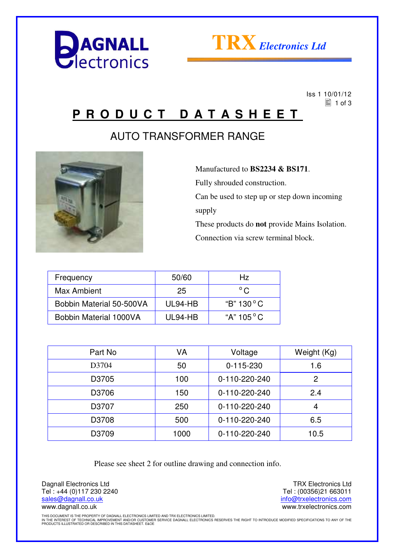



 Iss 1 10/01/12  $\equiv$  1 of 3

### **P R O D U C T D A T A S H E E T**

#### AUTO TRANSFORMER RANGE



 Manufactured to **BS2234 & BS171**. Fully shrouded construction. Can be used to step up or step down incoming supply These products do **not** provide Mains Isolation. Connection via screw terminal block.

| Frequency                | 50/60   | Hz.                 |
|--------------------------|---------|---------------------|
| Max Ambient              | 25      | $^{\circ}$ C.       |
| Bobbin Material 50-500VA | UL94-HB | "B" $130^{\circ}$ C |
| Bobbin Material 1000VA   | UL94-HB | "A" $105^{\circ}$ C |

| Part No | VA   | Voltage       | Weight (Kg) |
|---------|------|---------------|-------------|
| D3704   | 50   | $0-115-230$   | 1.6         |
| D3705   | 100  | 0-110-220-240 | 2           |
| D3706   | 150  | 0-110-220-240 | 2.4         |
| D3707   | 250  | 0-110-220-240 | 4           |
| D3708   | 500  | 0-110-220-240 | 6.5         |
| D3709   | 1000 | 0-110-220-240 | 10.5        |
|         |      |               |             |

Please see sheet 2 for outline drawing and connection info.

Dagnall Electronics Ltd Tel : +44 (0)117 230 2240 sales@dagnall.co.uk www.dagnall.co.uk

TRX Electronics Ltd Tel : (00356)21 663011 info@trxelectronics.com www.trxelectronics.com

THIS DOCUMENT IS THE PROPERTY OF DAGNALL ELECTRONICS LIMITED AND TRX ELECTRONICS LIMITED.<br>IN THE INTEREST OF TECHNICAL IMPROVEMENT AND/OR CUSTOMER SERVICE DAGNALL ELECTRONICS RESERVES THE RIGHT TO INTRODUCE MODIFIED SPECIF PRODUCTS ILLUSTRATED OR DESCRIBED IN THIS DATASHEET. E&OE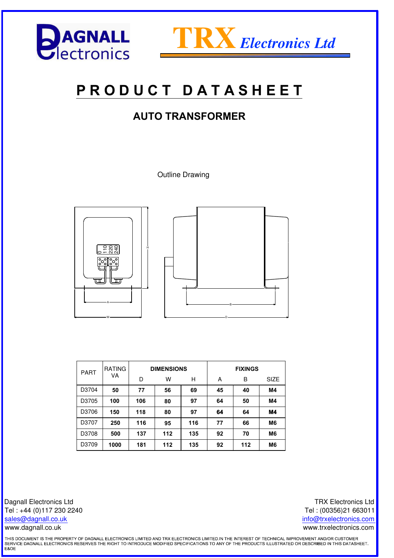



# **P R O D U C T D A T A S H E E T**

#### **AUTO TRANSFORMER**

Outline Drawing





| <b>PART</b> | <b>RATING</b> |     | <b>DIMENSIONS</b> |     | <b>FIXINGS</b> |     |                |
|-------------|---------------|-----|-------------------|-----|----------------|-----|----------------|
|             | VA            | D   | w                 | Н   | А              | B   | <b>SIZE</b>    |
| D3704       | 50            | 77  | 56                | 69  | 45             | 40  | M4             |
| D3705       | 100           | 106 | 80                | 97  | 64             | 50  | M4             |
| D3706       | 150           | 118 | 80                | 97  | 64             | 64  | <b>M4</b>      |
| D3707       | 250           | 116 | 95                | 116 | 77             | 66  | M <sub>6</sub> |
| D3708       | 500           | 137 | 112               | 135 | 92             | 70  | M <sub>6</sub> |
| D3709       | 1000          | 181 | 112               | 135 | 92             | 112 | M <sub>6</sub> |

Dagnall Electronics Ltd Tel : +44 (0)117 230 2240 sales@dagnall.co.uk www.dagnall.co.uk

TRX Electronics Ltd Tel : (00356)21 663011 info@trxelectronics.com www.trxelectronics.com

THIS DOCUMENT IS THE PROPERTY OF DAGNALL ELECTRONICS LIMITED AND TRX ELECTRONICS LIMITED.IN THE INTEREST OF TECHNICAL IMPROVEMENT AND/OR CUSTOMER<br>SERVICE DAGNALL ELECTRONICS RESERVES THE RIGHT TO INTRODUCE MODIFIED SPECIFI E&OE